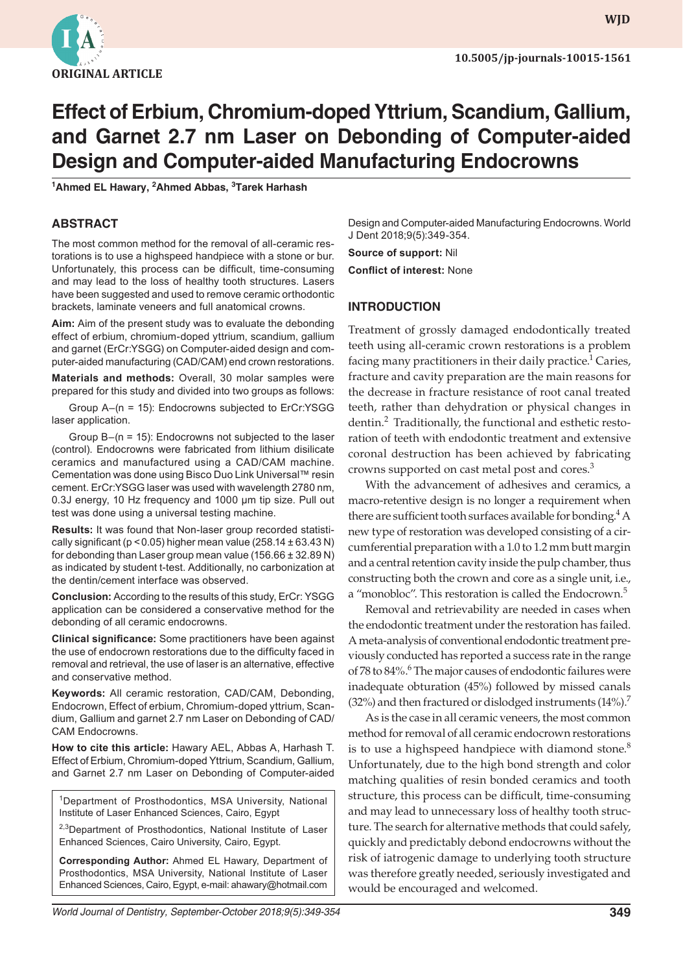

# **Effect of Erbium, Chromium-doped Yttrium, Scandium, Gallium, and Garnet 2.7 nm Laser on Debonding of Computer-aided Design and Computer-aided Manufacturing Endocrowns**

**1 Ahmed EL Hawary, 2 Ahmed Abbas, 3 Tarek Harhash**

# **ABSTRACT**

The most common method for the removal of all-ceramic restorations is to use a highspeed handpiece with a stone or bur. Unfortunately, this process can be difficult, time-consuming and may lead to the loss of healthy tooth structures. Lasers have been suggested and used to remove ceramic orthodontic brackets, laminate veneers and full anatomical crowns.

**Aim:** Aim of the present study was to evaluate the debonding effect of erbium, chromium-doped yttrium, scandium, gallium and garnet (ErCr:YSGG) on Computer-aided design and computer-aided manufacturing (CAD/CAM) end crown restorations.

**Materials and methods:** Overall, 30 molar samples were prepared for this study and divided into two groups as follows:

Group A–(n = 15): Endocrowns subjected to ErCr:YSGG laser application.

Group B–(n = 15): Endocrowns not subjected to the laser (control). Endocrowns were fabricated from lithium disilicate ceramics and manufactured using a CAD/CAM machine. Cementation was done using Bisco Duo Link Universal™ resin cement. ErCr:YSGG laser was used with wavelength 2780 nm, 0.3J energy, 10 Hz frequency and 1000 µm tip size. Pull out test was done using a universal testing machine.

**Results:** It was found that Non-laser group recorded statistically significant ( $p < 0.05$ ) higher mean value (258.14  $\pm$  63.43 N) for debonding than Laser group mean value  $(156.66 \pm 32.89 \text{ N})$ as indicated by student t-test. Additionally, no carbonization at the dentin/cement interface was observed.

**Conclusion:** According to the results of this study, ErCr: YSGG application can be considered a conservative method for the debonding of all ceramic endocrowns.

**Clinical significance:** Some practitioners have been against the use of endocrown restorations due to the difficulty faced in removal and retrieval, the use of laser is an alternative, effective and conservative method.

**Keywords:** All ceramic restoration, CAD/CAM, Debonding, Endocrown, Effect of erbium, Chromium-doped yttrium, Scandium, Gallium and garnet 2.7 nm Laser on Debonding of CAD/ CAM Endocrowns.

**How to cite this article:** Hawary AEL, Abbas A, Harhash T. Effect of Erbium, Chromium-doped Yttrium, Scandium, Gallium, and Garnet 2.7 nm Laser on Debonding of Computer-aided

1Department of Prosthodontics, MSA University, National Institute of Laser Enhanced Sciences, Cairo, Egypt

<sup>2,3</sup>Department of Prosthodontics, National Institute of Laser Enhanced Sciences, Cairo University, Cairo, Egypt.

**Corresponding Author:** Ahmed EL Hawary, Department of Prosthodontics, MSA University, National Institute of Laser Enhanced Sciences, Cairo, Egypt, e-mail: ahawary@hotmail.com Design and Computer-aided Manufacturing Endocrowns. World J Dent 2018;9(5):349-354.

**Source of support:** Nil

**Conflict of interest:** None

# **INTRODUCTION**

Treatment of grossly damaged endodontically treated teeth using all-ceramic crown restorations is a problem facing many practitioners in their daily practice.<sup>1</sup> Caries, fracture and cavity preparation are the main reasons for the decrease in fracture resistance of root canal treated teeth, rather than dehydration or physical changes in dentin.<sup>2</sup> Traditionally, the functional and esthetic restoration of teeth with endodontic treatment and extensive coronal destruction has been achieved by fabricating crowns supported on cast metal post and cores.<sup>3</sup>

With the advancement of adhesives and ceramics, a macro-retentive design is no longer a requirement when there are sufficient tooth surfaces available for bonding.<sup>4</sup> A new type of restoration was developed consisting of a circumferential preparation with a 1.0 to 1.2 mm butt margin and a central retention cavity inside the pulp chamber, thus constructing both the crown and core as a single unit, i.e., a "monobloc". This restoration is called the Endocrown.<sup>5</sup>

Removal and retrievability are needed in cases when the endodontic treatment under the restoration has failed. A meta-analysis of conventional endodontic treatment previously conducted has reported a success rate in the range of 78 to 84%.<sup>6</sup> The major causes of endodontic failures were inadequate obturation (45%) followed by missed canals  $(32%)$  and then fractured or dislodged instruments  $(14%)$ .

As is the case in all ceramic veneers, the most common method for removal of all ceramic endocrown restorations is to use a highspeed handpiece with diamond stone. $8$ Unfortunately, due to the high bond strength and color matching qualities of resin bonded ceramics and tooth structure, this process can be difficult, time-consuming and may lead to unnecessary loss of healthy tooth structure. The search for alternative methods that could safely, quickly and predictably debond endocrowns without the risk of iatrogenic damage to underlying tooth structure was therefore greatly needed, seriously investigated and would be encouraged and welcomed.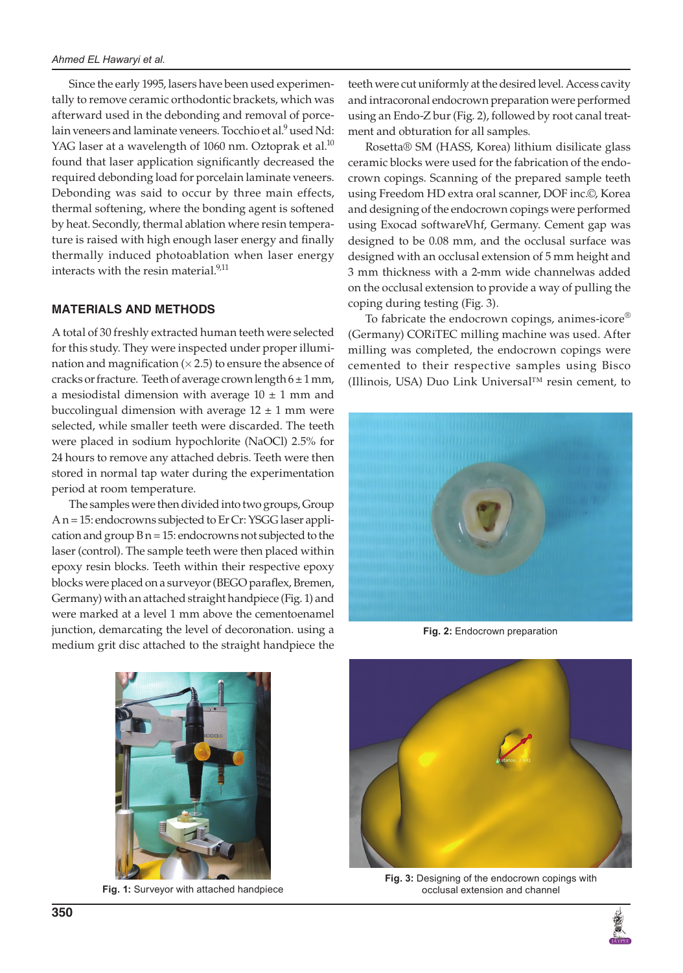Since the early 1995, lasers have been used experimentally to remove ceramic orthodontic brackets, which was afterward used in the debonding and removal of porcelain veneers and laminate veneers. Tocchio et al.<sup>9</sup> used Nd: YAG laser at a wavelength of 1060 nm. Oztoprak et al. $^{10}$ found that laser application significantly decreased the required debonding load for porcelain laminate veneers. Debonding was said to occur by three main effects, thermal softening, where the bonding agent is softened by heat. Secondly, thermal ablation where resin temperature is raised with high enough laser energy and finally thermally induced photoablation when laser energy interacts with the resin material. $9,11$ 

## **MATERIALS AND METHODS**

A total of 30 freshly extracted human teeth were selected for this study. They were inspected under proper illumination and magnification  $(x 2.5)$  to ensure the absence of cracks or fracture. Teeth of average crown length  $6 \pm 1$  mm, a mesiodistal dimension with average  $10 \pm 1$  mm and buccolingual dimension with average  $12 \pm 1$  mm were selected, while smaller teeth were discarded. The teeth were placed in sodium hypochlorite (NaOCl) 2.5% for 24 hours to remove any attached debris. Teeth were then stored in normal tap water during the experimentation period at room temperature.

The samples were then divided into two groups, Group A n = 15: endocrowns subjected to Er Cr: YSGG laser application and group  $B n = 15$ : endocrowns not subjected to the laser (control). The sample teeth were then placed within epoxy resin blocks. Teeth within their respective epoxy blocks were placed on a surveyor (BEGO paraflex, Bremen, Germany) with an attached straight handpiece (Fig. 1) and were marked at a level 1 mm above the cementoenamel junction, demarcating the level of decoronation. using a medium grit disc attached to the straight handpiece the

teeth were cut uniformly at the desired level. Access cavity and intracoronal endocrown preparation were performed using an Endo-Z bur (Fig. 2), followed by root canal treatment and obturation for all samples.

Rosetta® SM (HASS, Korea) lithium disilicate glass ceramic blocks were used for the fabrication of the endocrown copings. Scanning of the prepared sample teeth using Freedom HD extra oral scanner, DOF inc.©, Korea and designing of the endocrown copings were performed using Exocad softwareVhf, Germany. Cement gap was designed to be 0.08 mm, and the occlusal surface was designed with an occlusal extension of 5 mm height and 3 mm thickness with a 2-mm wide channelwas added on the occlusal extension to provide a way of pulling the coping during testing (Fig. 3).

To fabricate the endocrown copings, animes-icore® (Germany) CORiTEC milling machine was used. After milling was completed, the endocrown copings were cemented to their respective samples using Bisco (Illinois, USA) Duo Link Universal™ resin cement, to



**Fig. 2:** Endocrown preparation



**Fig. 1:** Surveyor with attached handpiece



**Fig. 3:** Designing of the endocrown copings with occlusal extension and channel

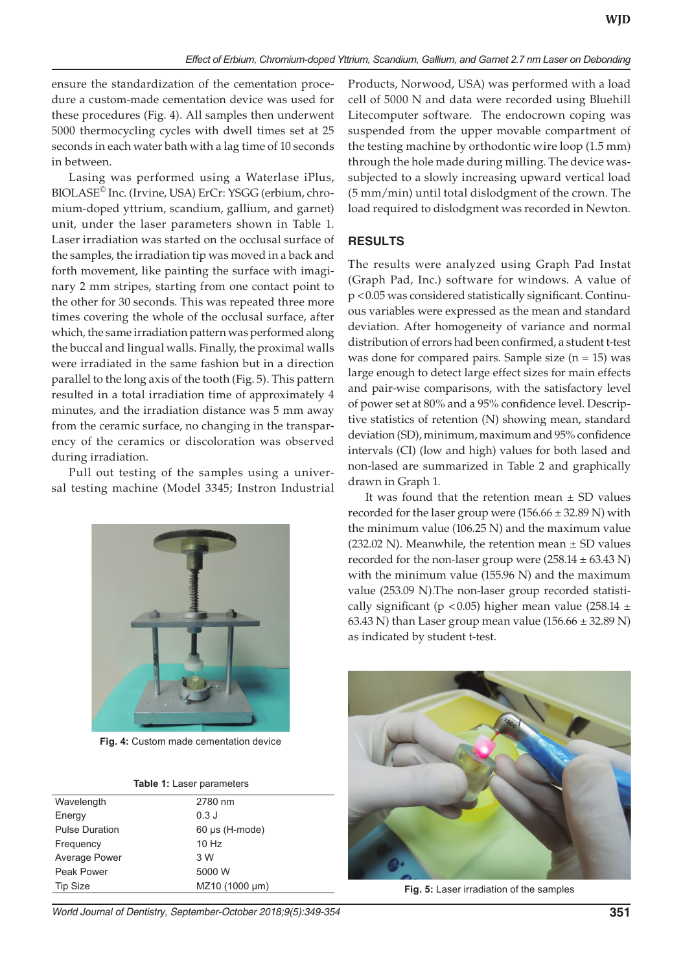ensure the standardization of the cementation procedure a custom-made cementation device was used for these procedures (Fig. 4). All samples then underwent 5000 thermocycling cycles with dwell times set at 25 seconds in each water bath with a lag time of 10 seconds in between.

Lasing was performed using a Waterlase iPlus, BIOLASE© Inc. (Irvine, USA) ErCr: YSGG (erbium, chromium-doped yttrium, scandium, gallium, and garnet) unit, under the laser parameters shown in Table 1. Laser irradiation was started on the occlusal surface of the samples, the irradiation tip was moved in a back and forth movement, like painting the surface with imaginary 2 mm stripes, starting from one contact point to the other for 30 seconds. This was repeated three more times covering the whole of the occlusal surface, after which, the same irradiation pattern was performed along the buccal and lingual walls. Finally, the proximal walls were irradiated in the same fashion but in a direction parallel to the long axis of the tooth (Fig. 5). This pattern resulted in a total irradiation time of approximately 4 minutes, and the irradiation distance was 5 mm away from the ceramic surface, no changing in the transparency of the ceramics or discoloration was observed during irradiation.

Pull out testing of the samples using a universal testing machine (Model 3345; Instron Industrial



**Fig. 4:** Custom made cementation device

| Table 1: Laser parameters |  |
|---------------------------|--|
|---------------------------|--|

| Wavelength            | 2780 nm             |
|-----------------------|---------------------|
| Energy                | $0.3$ J             |
| <b>Pulse Duration</b> | $60 \mu s$ (H-mode) |
| Frequency             | $10$ Hz             |
| Average Power         | 3 W                 |
| Peak Power            | 5000 W              |
| <b>Tip Size</b>       | MZ10 (1000 µm)      |
|                       |                     |

*World Journal of Dentistry, September-October 2018;9(5):349-354* **351**

Products, Norwood, USA) was performed with a load cell of 5000 N and data were recorded using Bluehill Litecomputer software. The endocrown coping was suspended from the upper movable compartment of the testing machine by orthodontic wire loop (1.5 mm) through the hole made during milling. The device wassubjected to a slowly increasing upward vertical load (5 mm/min) until total dislodgment of the crown. The load required to dislodgment was recorded in Newton.

#### **RESULTS**

The results were analyzed using Graph Pad Instat (Graph Pad, Inc.) software for windows. A value of p <0.05 was considered statistically significant. Continuous variables were expressed as the mean and standard deviation. After homogeneity of variance and normal distribution of errors had been confirmed, a student t-test was done for compared pairs. Sample size  $(n = 15)$  was large enough to detect large effect sizes for main effects and pair-wise comparisons, with the satisfactory level of power set at 80% and a 95% confidence level. Descriptive statistics of retention (N) showing mean, standard deviation (SD), minimum, maximum and 95% confidence intervals (CI) (low and high) values for both lased and non-lased are summarized in Table 2 and graphically drawn in Graph 1.

It was found that the retention mean  $\pm$  SD values recorded for the laser group were  $(156.66 \pm 32.89 \text{ N})$  with the minimum value (106.25 N) and the maximum value  $(232.02 \text{ N})$ . Meanwhile, the retention mean  $\pm$  SD values recorded for the non-laser group were  $(258.14 \pm 63.43 \text{ N})$ with the minimum value (155.96 N) and the maximum value (253.09 N).The non-laser group recorded statistically significant (p < 0.05) higher mean value (258.14  $\pm$ 63.43 N) than Laser group mean value  $(156.66 \pm 32.89 \text{ N})$ as indicated by student t-test.



**Fig. 5:** Laser irradiation of the samples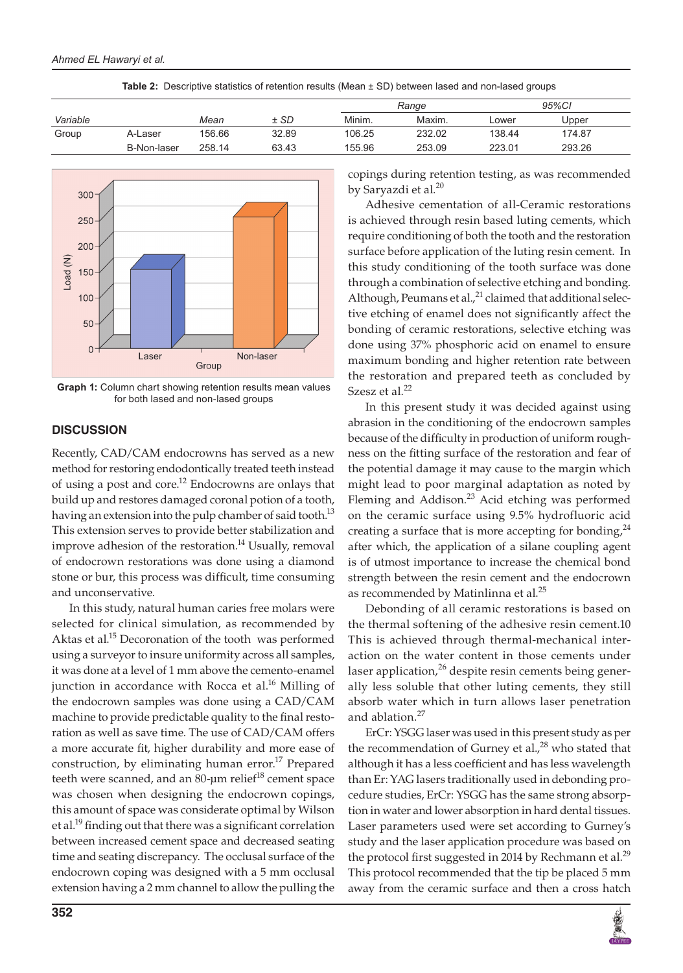|          |             |        |       | Range  |        | 95%CI  |        |  |
|----------|-------------|--------|-------|--------|--------|--------|--------|--|
| Variable |             | Mean   | ± SD  | Minim. | Maxim. | _ower  | Upper  |  |
| Group    | A-Laser     | 156.66 | 32.89 | 106.25 | 232.02 | 138.44 | 174.87 |  |
|          | B-Non-laser | 258.14 | 63.43 | 155.96 | 253.09 | 223.01 | 293.26 |  |





**Graph 1:** Column chart showing retention results mean values for both lased and non-lased groups

# **DISCUSSION**

Recently, CAD/CAM endocrowns has served as a new method for restoring endodontically treated teeth instead of using a post and core.<sup>12</sup> Endocrowns are onlays that build up and restores damaged coronal potion of a tooth, having an extension into the pulp chamber of said tooth.<sup>13</sup> This extension serves to provide better stabilization and improve adhesion of the restoration.<sup>14</sup> Usually, removal of endocrown restorations was done using a diamond stone or bur, this process was difficult, time consuming and unconservative.

In this study, natural human caries free molars were selected for clinical simulation, as recommended by Aktas et al.<sup>15</sup> Decoronation of the tooth was performed using a surveyor to insure uniformity across all samples, it was done at a level of 1 mm above the cemento-enamel junction in accordance with Rocca et al.<sup>16</sup> Milling of the endocrown samples was done using a CAD/CAM machine to provide predictable quality to the final restoration as well as save time. The use of CAD/CAM offers a more accurate fit, higher durability and more ease of construction, by eliminating human error.<sup>17</sup> Prepared teeth were scanned, and an  $80$ -µm relief $^{18}$  cement space was chosen when designing the endocrown copings, this amount of space was considerate optimal by Wilson et al.<sup>19</sup> finding out that there was a significant correlation between increased cement space and decreased seating time and seating discrepancy. The occlusal surface of the endocrown coping was designed with a 5 mm occlusal extension having a 2 mm channel to allow the pulling the copings during retention testing, as was recommended by Saryazdi et al.<sup>20</sup>

Adhesive cementation of all-Ceramic restorations is achieved through resin based luting cements, which require conditioning of both the tooth and the restoration surface before application of the luting resin cement. In this study conditioning of the tooth surface was done through a combination of selective etching and bonding. Although, Peumans et al.,<sup>21</sup> claimed that additional selective etching of enamel does not significantly affect the bonding of ceramic restorations, selective etching was done using 37% phosphoric acid on enamel to ensure maximum bonding and higher retention rate between the restoration and prepared teeth as concluded by Szesz et al.<sup>22</sup>

In this present study it was decided against using abrasion in the conditioning of the endocrown samples because of the difficulty in production of uniform roughness on the fitting surface of the restoration and fear of the potential damage it may cause to the margin which might lead to poor marginal adaptation as noted by Fleming and Addison.<sup>23</sup> Acid etching was performed on the ceramic surface using 9.5% hydrofluoric acid creating a surface that is more accepting for bonding,  $24$ after which, the application of a silane coupling agent is of utmost importance to increase the chemical bond strength between the resin cement and the endocrown as recommended by Matinlinna et al.<sup>25</sup>

Debonding of all ceramic restorations is based on the thermal softening of the adhesive resin cement.10 This is achieved through thermal-mechanical interaction on the water content in those cements under laser application,  $26$  despite resin cements being generally less soluble that other luting cements, they still absorb water which in turn allows laser penetration and ablation.<sup>27</sup>

ErCr: YSGG laser was used in this present study as per the recommendation of Gurney et al. $,^{28}$  who stated that although it has a less coefficient and has less wavelength than Er: YAG lasers traditionally used in debonding procedure studies, ErCr: YSGG has the same strong absorption in water and lower absorption in hard dental tissues. Laser parameters used were set according to Gurney's study and the laser application procedure was based on the protocol first suggested in 2014 by Rechmann et al.<sup>29</sup> This protocol recommended that the tip be placed 5 mm away from the ceramic surface and then a cross hatch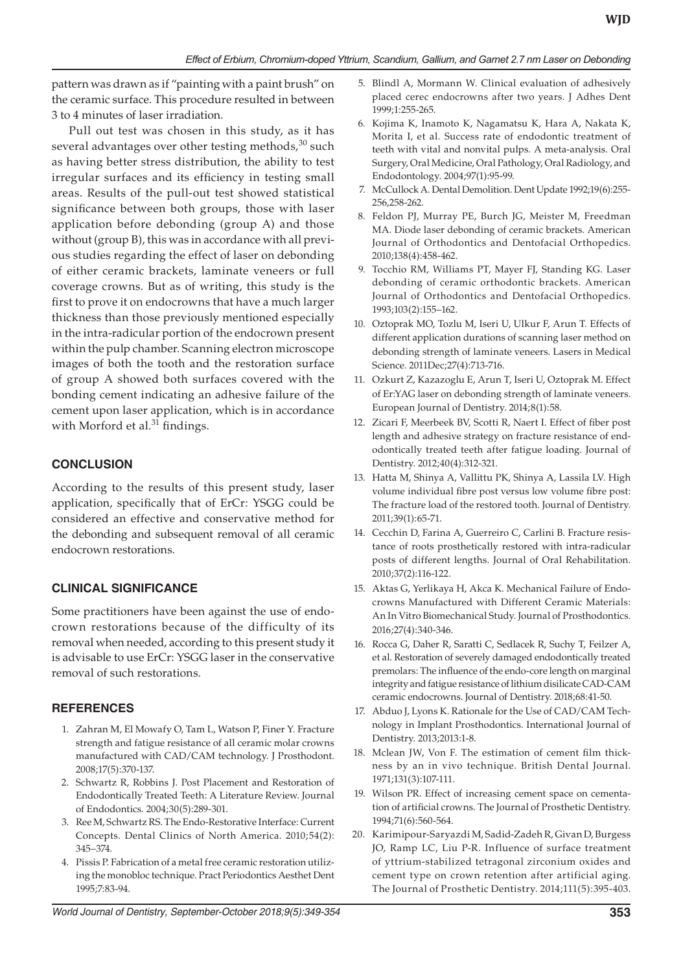pattern was drawn as if "painting with a paint brush" on the ceramic surface. This procedure resulted in between 3 to 4 minutes of laser irradiation.

Pull out test was chosen in this study, as it has several advantages over other testing methods,  $30$  such as having better stress distribution, the ability to test irregular surfaces and its efficiency in testing small areas. Results of the pull-out test showed statistical significance between both groups, those with laser application before debonding (group A) and those without (group B), this was in accordance with all previous studies regarding the effect of laser on debonding of either ceramic brackets, laminate veneers or full coverage crowns. But as of writing, this study is the first to prove it on endocrowns that have a much larger thickness than those previously mentioned especially in the intra-radicular portion of the endocrown present within the pulp chamber. Scanning electron microscope images of both the tooth and the restoration surface of group A showed both surfaces covered with the bonding cement indicating an adhesive failure of the cement upon laser application, which is in accordance with Morford et al.<sup>31</sup> findings.

### **CONCLUSION**

According to the results of this present study, laser application, specifically that of ErCr: YSGG could be considered an effective and conservative method for the debonding and subsequent removal of all ceramic endocrown restorations.

## **CLINICAL SIGNIFICANCE**

Some practitioners have been against the use of endocrown restorations because of the difficulty of its removal when needed, according to this present study it is advisable to use ErCr: YSGG laser in the conservative removal of such restorations.

## **REFERENCES**

- 1. Zahran M, El Mowafy O, Tam L, Watson P, Finer Y. Fracture strength and fatigue resistance of all ceramic molar crowns manufactured with CAD/CAM technology. J Prosthodont. 2008;17(5):370-137.
- 2. Schwartz R, Robbins J. Post Placement and Restoration of Endodontically Treated Teeth: A Literature Review. Journal of Endodontics. 2004;30(5):289-301.
- 3. Ree M, Schwartz RS. The Endo-Restorative Interface: Current Concepts. Dental Clinics of North America. 2010;54(2): 345–374.
- 4. Pissis P. Fabrication of a metal free ceramic restoration utilizing the monobloc technique. Pract Periodontics Aesthet Dent 1995;7:83-94.
- *World Journal of Dentistry, September-October 2018;9(5):349-354* **353**
- 5. Blindl A, Mormann W. Clinical evaluation of adhesively placed cerec endocrowns after two years. J Adhes Dent 1999;1:255-265.
- 6. Kojima K, Inamoto K, Nagamatsu K, Hara A, Nakata K, Morita I, et al. Success rate of endodontic treatment of teeth with vital and nonvital pulps. A meta-analysis. Oral Surgery, Oral Medicine, Oral Pathology, Oral Radiology, and Endodontology. 2004;97(1):95-99.
- 7. McCullock A. Dental Demolition. Dent Update 1992;19(6):255- 256,258-262.
- 8. Feldon PJ, Murray PE, Burch JG, Meister M, Freedman MA. Diode laser debonding of ceramic brackets. American Journal of Orthodontics and Dentofacial Orthopedics. 2010;138(4):458-462.
- 9. Tocchio RM, Williams PT, Mayer FJ, Standing KG. Laser debonding of ceramic orthodontic brackets. American Journal of Orthodontics and Dentofacial Orthopedics. 1993;103(2):155–162.
- 10. Oztoprak MO, Tozlu M, Iseri U, Ulkur F, Arun T. Effects of different application durations of scanning laser method on debonding strength of laminate veneers. Lasers in Medical Science. 2011Dec;27(4):713-716.
- 11. Ozkurt Z, Kazazoglu E, Arun T, Iseri U, Oztoprak M. Effect of Er:YAG laser on debonding strength of laminate veneers. European Journal of Dentistry. 2014;8(1):58.
- 12. Zicari F, Meerbeek BV, Scotti R, Naert I. Effect of fiber post length and adhesive strategy on fracture resistance of endodontically treated teeth after fatigue loading. Journal of Dentistry. 2012;40(4):312-321.
- 13. Hatta M, Shinya A, Vallittu PK, Shinya A, Lassila LV. High volume individual fibre post versus low volume fibre post: The fracture load of the restored tooth. Journal of Dentistry. 2011;39(1):65-71.
- 14. Cecchin D, Farina A, Guerreiro C, Carlini B. Fracture resistance of roots prosthetically restored with intra-radicular posts of different lengths. Journal of Oral Rehabilitation. 2010;37(2):116-122.
- 15. Aktas G, Yerlikaya H, Akca K. Mechanical Failure of Endocrowns Manufactured with Different Ceramic Materials: An In Vitro Biomechanical Study. Journal of Prosthodontics. 2016;27(4):340-346.
- 16. Rocca G, Daher R, Saratti C, Sedlacek R, Suchy T, Feilzer A, et al. Restoration of severely damaged endodontically treated premolars: The influence of the endo-core length on marginal integrity and fatigue resistance of lithium disilicate CAD-CAM ceramic endocrowns. Journal of Dentistry. 2018;68:41-50.
- 17. Abduo J, Lyons K. Rationale for the Use of CAD/CAM Technology in Implant Prosthodontics. International Journal of Dentistry. 2013;2013:1-8.
- 18. Mclean JW, Von F. The estimation of cement film thickness by an in vivo technique. British Dental Journal. 1971;131(3):107-111.
- 19. Wilson PR. Effect of increasing cement space on cementation of artificial crowns. The Journal of Prosthetic Dentistry. 1994;71(6):560-564.
- 20. Karimipour-Saryazdi M, Sadid-Zadeh R, Givan D, Burgess JO, Ramp LC, Liu P-R. Influence of surface treatment of yttrium-stabilized tetragonal zirconium oxides and cement type on crown retention after artificial aging. The Journal of Prosthetic Dentistry. 2014;111(5):395-403.